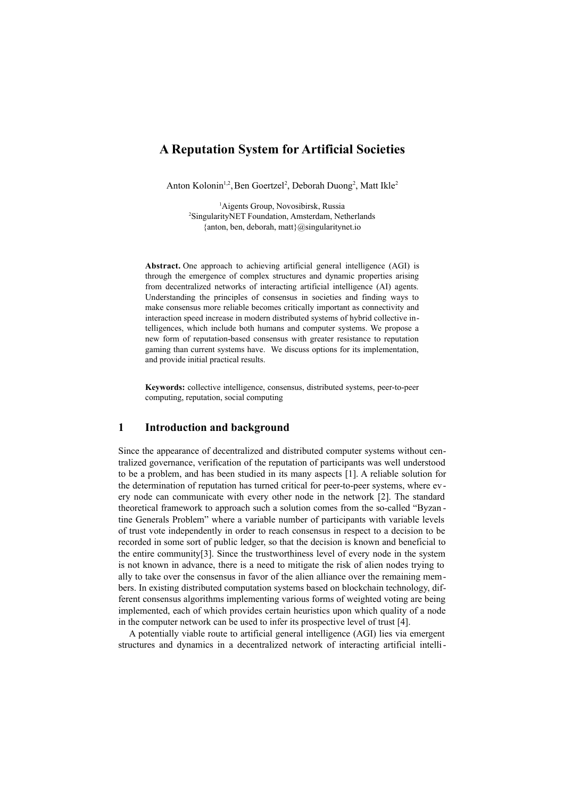# **A Reputation System for Artificial Societies**

Anton Kolonin<sup>1,2</sup>, Ben Goertzel<sup>2</sup>, Deborah Duong<sup>2</sup>, Matt Ikle<sup>2</sup>

<sup>1</sup>Aigents Group, Novosibirsk, Russia <sup>2</sup>SingularityNET Foundation, Amsterdam, Netherlands  $\{\text{anton}, \text{ben}, \text{deborah}, \text{matt}\}\$ @singularitynet.io

**Abstract.** One approach to achieving artificial general intelligence (AGI) is through the emergence of complex structures and dynamic properties arising from decentralized networks of interacting artificial intelligence (AI) agents. Understanding the principles of consensus in societies and finding ways to make consensus more reliable becomes critically important as connectivity and interaction speed increase in modern distributed systems of hybrid collective intelligences, which include both humans and computer systems. We propose a new form of reputation-based consensus with greater resistance to reputation gaming than current systems have. We discuss options for its implementation, and provide initial practical results.

**Keywords:** collective intelligence, consensus, distributed systems, peer-to-peer computing, reputation, social computing

## **1 Introduction and background**

Since the appearance of decentralized and distributed computer systems without centralized governance, verification of the reputation of participants was well understood to be a problem, and has been studied in its many aspects [1]. A reliable solution for the determination of reputation has turned critical for peer-to-peer systems, where every node can communicate with every other node in the network [2]. The standard theoretical framework to approach such a solution comes from the so-called "Byzan tine Generals Problem" where a variable number of participants with variable levels of trust vote independently in order to reach consensus in respect to a decision to be recorded in some sort of public ledger, so that the decision is known and beneficial to the entire community[3]. Since the trustworthiness level of every node in the system is not known in advance, there is a need to mitigate the risk of alien nodes trying to ally to take over the consensus in favor of the alien alliance over the remaining members. In existing distributed computation systems based on blockchain technology, different consensus algorithms implementing various forms of weighted voting are being implemented, each of which provides certain heuristics upon which quality of a node in the computer network can be used to infer its prospective level of trust [4].

A potentially viable route to artificial general intelligence (AGI) lies via emergent structures and dynamics in a decentralized network of interacting artificial intelli-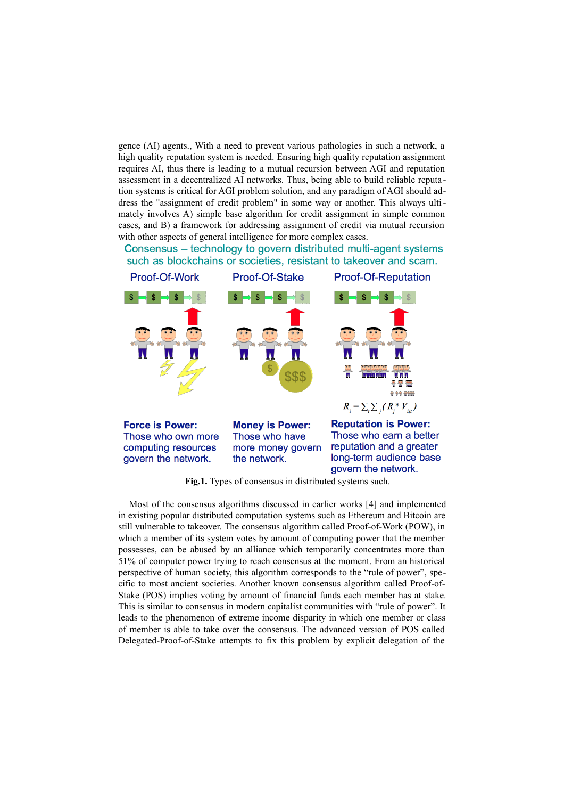gence (AI) agents., With a need to prevent various pathologies in such a network, a high quality reputation system is needed. Ensuring high quality reputation assignment requires AI, thus there is leading to a mutual recursion between AGI and reputation assessment in a decentralized AI networks. Thus, being able to build reliable reputa tion systems is critical for AGI problem solution, and any paradigm of AGI should address the "assignment of credit problem" in some way or another. This always ultimately involves A) simple base algorithm for credit assignment in simple common cases, and B) a framework for addressing assignment of credit via mutual recursion with other aspects of general intelligence for more complex cases.

Consensus – technology to govern distributed multi-agent systems such as blockchains or societies, resistant to takeover and scam.



**Fig.1.** Types of consensus in distributed systems such.

Most of the consensus algorithms discussed in earlier works [4] and implemented in existing popular distributed computation systems such as Ethereum and Bitcoin are still vulnerable to takeover. The consensus algorithm called Proof-of-Work (POW), in which a member of its system votes by amount of computing power that the member possesses, can be abused by an alliance which temporarily concentrates more than 51% of computer power trying to reach consensus at the moment. From an historical perspective of human society, this algorithm corresponds to the "rule of power", specific to most ancient societies. Another known consensus algorithm called Proof-of-Stake (POS) implies voting by amount of financial funds each member has at stake. This is similar to consensus in modern capitalist communities with "rule of power". It leads to the phenomenon of extreme income disparity in which one member or class of member is able to take over the consensus. The advanced version of POS called Delegated-Proof-of-Stake attempts to fix this problem by explicit delegation of the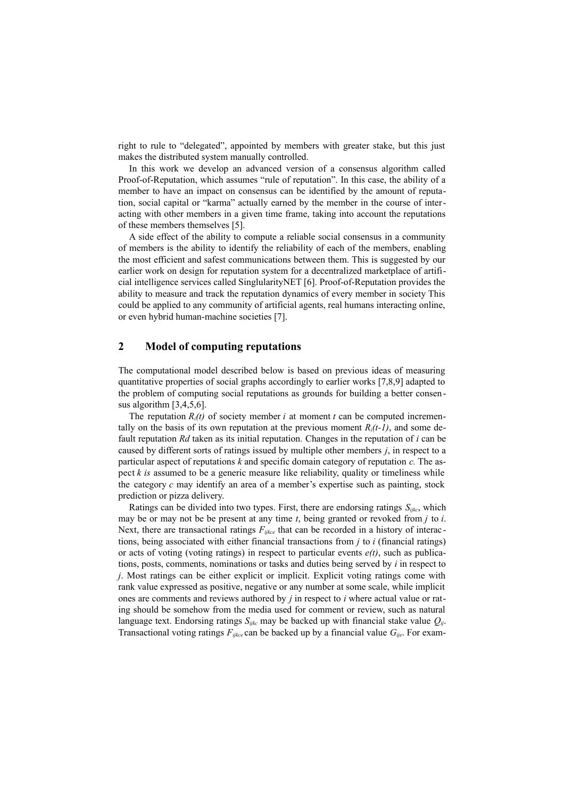right to rule to "delegated", appointed by members with greater stake, but this just makes the distributed system manually controlled.

In this work we develop an advanced version of a consensus algorithm called Proof-of-Reputation, which assumes "rule of reputation". In this case, the ability of a member to have an impact on consensus can be identified by the amount of reputation, social capital or "karma" actually earned by the member in the course of interacting with other members in a given time frame, taking into account the reputations of these members themselves [5].

A side effect of the ability to compute a reliable social consensus in a community of members is the ability to identify the reliability of each of the members, enabling the most efficient and safest communications between them. This is suggested by our earlier work on design for reputation system for a decentralized marketplace of artificial intelligence services called SinglularityNET [6]. Proof-of-Reputation provides the ability to measure and track the reputation dynamics of every member in society This could be applied to any community of artificial agents, real humans interacting online, or even hybrid human-machine societies [7].

## **2 Model of computing reputations**

The computational model described below is based on previous ideas of measuring quantitative properties of social graphs accordingly to earlier works [7,8,9] adapted to the problem of computing social reputations as grounds for building a better consensus algorithm  $[3,4,5,6]$ .

The reputation  $R_i(t)$  of society member *i* at moment *t* can be computed incrementally on the basis of its own reputation at the previous moment  $R_i(t-1)$ , and some default reputation *Rd* taken as its initial reputation*.* Changes in the reputation of *i* can be caused by different sorts of ratings issued by multiple other members *j*, in respect to a particular aspect of reputations *k* and specific domain category of reputation *c.* The aspect *k is* assumed to be a generic measure like reliability, quality or timeliness while the category *c* may identify an area of a member's expertise such as painting, stock prediction or pizza delivery.

Ratings can be divided into two types. First, there are endorsing ratings *Sijkc*, which may be or may not be be present at any time *t*, being granted or revoked from *j* to *i*. Next, there are transactional ratings  $F_{\text{like}}$  that can be recorded in a history of interactions, being associated with either financial transactions from *j* to *i* (financial ratings) or acts of voting (voting ratings) in respect to particular events  $e(t)$ , such as publications, posts, comments, nominations or tasks and duties being served by *i* in respect to *j*. Most ratings can be either explicit or implicit. Explicit voting ratings come with rank value expressed as positive, negative or any number at some scale, while implicit ones are comments and reviews authored by *j* in respect to *i* where actual value or rating should be somehow from the media used for comment or review, such as natural language text. Endorsing ratings  $S_{ijkc}$  may be backed up with financial stake value  $Q_{ij}$ . Transactional voting ratings *Fijkce* can be backed up by a financial value *Gije*. For exam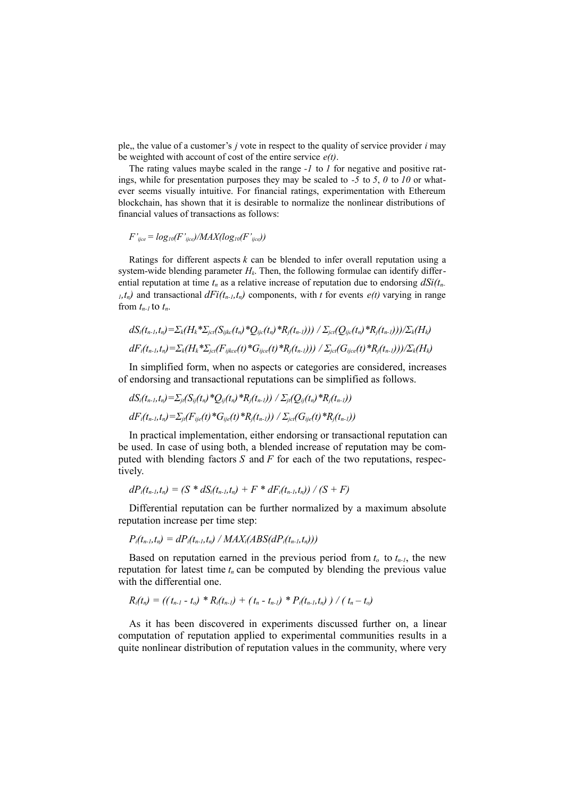ple,, the value of a customer's *j* vote in respect to the quality of service provider *i* may be weighted with account of cost of the entire service *e(t)*.

The rating values maybe scaled in the range *-1* to *1* for negative and positive ratings, while for presentation purposes they may be scaled to *-5* to *5*, *0* to *10* or whatever seems visually intuitive. For financial ratings, experimentation with Ethereum blockchain, has shown that it is desirable to normalize the nonlinear distributions of financial values of transactions as follows:

$$
F'_{ijce} = log_{10}(F'_{ijce})/MAX(log_{10}(F'_{ijce}))
$$

Ratings for different aspects  $k$  can be blended to infer overall reputation using a system-wide blending parameter  $H_k$ . Then, the following formulae can identify differential reputation at time  $t_n$  as a relative increase of reputation due to endorsing  $dSi(t_n)$  $I_t$ ,*t<sub>n</sub>*</sub> $)$  and transactional  $dFi(t_{n-1}, t_n)$  components, with *t* for events  $e(t)$  varying in range from  $t_{n-1}$  to  $t_n$ .

$$
\frac{dS_i(t_{n-1},t_n) = \sum_k (H_k * \sum_{j\text{ct}}(S_{ijkc}(t_n) * Q_{ijc}(t_n) * R_j(t_{n-1})))}{\sum_{j\text{ct}}(Q_{ijc}(t_n) * R_j(t_{n-1}))} / \sum_{k\text{ct}}(H_k)
$$
\n
$$
\frac{dF_i(t_{n-1},t_n) = \sum_k (H_k * \sum_{j\text{ct}}(F_{ijkce}(t) * G_{ijce}(t) * R_j(t_{n-1})))}{\sum_{j\text{ct}}(G_{ijce}(t) * R_j(t_{n-1})))} / \sum_k (H_k)
$$

In simplified form, when no aspects or categories are considered, increases of endorsing and transactional reputations can be simplified as follows.

$$
\begin{aligned} dS_i(t_{n-l},t_n) =& \sum_{jl} (S_{ij}(t_n)^* Q_{ij}(t_n)^* R_j(t_{n-l})) / \sum_{jl} (Q_{ij}(t_n)^* R_j(t_{n-l})) \\ dF_i(t_{n-l},t_n) =& \sum_{jl} (F_{ij}e(t)^* G_{ij}e(t)^* R_j(t_{n-l})) / \sum_{jct} (G_{ij}e(t)^* R_j(t_{n-l})) \end{aligned}
$$

In practical implementation, either endorsing or transactional reputation can be used. In case of using both, a blended increase of reputation may be computed with blending factors *S* and *F* for each of the two reputations, respectively.

$$
dP_i(t_{n-l}, t_n) = (S * dS_i(t_{n-l}, t_n) + F * dF_i(t_{n-l}, t_n)) / (S + F)
$$

Differential reputation can be further normalized by a maximum absolute reputation increase per time step:

$$
P_i(t_{n-l}, t_n) = dP_i(t_{n-l}, t_n) / MAX_i(ABS(dP_i(t_{n-l}, t_n)))
$$

Based on reputation earned in the previous period from  $t<sub>o</sub>$  to  $t<sub>n-1</sub>$ , the new reputation for latest time  $t_n$  can be computed by blending the previous value with the differential one.

$$
R_i(t_n) = ((t_{n-l} - t_o) * R_i(t_{n-l}) + (t_n - t_{n-l}) * P_i(t_{n-l}, t_n)) / (t_n - t_o)
$$

As it has been discovered in experiments discussed further on, a linear computation of reputation applied to experimental communities results in a quite nonlinear distribution of reputation values in the community, where very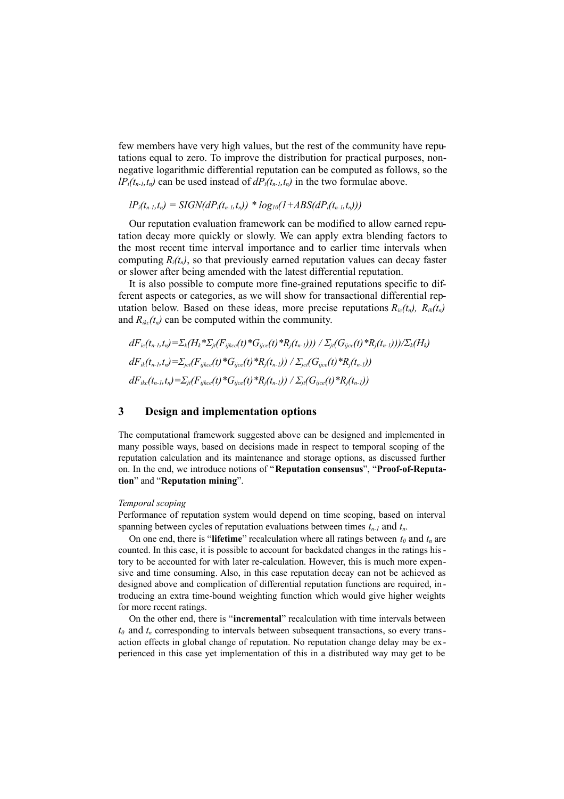few members have very high values, but the rest of the community have reputations equal to zero. To improve the distribution for practical purposes, nonnegative logarithmic differential reputation can be computed as follows, so the  $lP_i(t_{n-l}, t_n)$  can be used instead of  $dP_i(t_{n-l}, t_n)$  in the two formulae above.

 $lP_i(t_{n-l},t_n) = SIGN(dP_i(t_{n-l},t_n)) * log_{10}(1+ABS(dP_i(t_{n-l},t_n)))$ 

Our reputation evaluation framework can be modified to allow earned reputation decay more quickly or slowly. We can apply extra blending factors to the most recent time interval importance and to earlier time intervals when computing  $R_i(t_n)$ , so that previously earned reputation values can decay faster or slower after being amended with the latest differential reputation.

It is also possible to compute more fine-grained reputations specific to different aspects or categories, as we will show for transactional differential reputation below. Based on these ideas, more precise reputations  $R_{i c}(t_n)$ ,  $R_{i k}(t_n)$ and  $R_{ikc}(t_n)$  can be computed within the community.

$$
dF_{ic}(t_{n-l},t_n) = \sum_k (H_k^* \sum_{ji} (F_{ijkce}(t)^* G_{ijce}(t)^* R_j(t_{n-l}))) / \sum_{ji} (G_{ijce}(t)^* R_j(t_{n-l}))) / \sum_k (H_k)
$$
  
\n
$$
dF_{ik}(t_{n-l},t_n) = \sum_{jct} (F_{ijkce}(t)^* G_{ijce}(t)^* R_j(t_{n-l})) / \sum_{jct} (G_{ijce}(t)^* R_j(t_{n-l}))
$$
  
\n
$$
dF_{ikc}(t_{n-l},t_n) = \sum_{ji} (F_{ijkce}(t)^* G_{ijce}(t)^* R_j(t_{n-l})) / \sum_{ji} (G_{ijce}(t)^* R_j(t_{n-l}))
$$

# **3 Design and implementation options**

The computational framework suggested above can be designed and implemented in many possible ways, based on decisions made in respect to temporal scoping of the reputation calculation and its maintenance and storage options, as discussed further on. In the end, we introduce notions of "**Reputation consensus**", "**Proof-of-Reputation**" and "**Reputation mining**".

## *Temporal scoping*

Performance of reputation system would depend on time scoping, based on interval spanning between cycles of reputation evaluations between times *tn-1* and *tn*.

On one end, there is "**lifetime**" recalculation where all ratings between  $t_0$  and  $t_n$  are counted. In this case, it is possible to account for backdated changes in the ratings history to be accounted for with later re-calculation. However, this is much more expensive and time consuming. Also, in this case reputation decay can not be achieved as designed above and complication of differential reputation functions are required, in troducing an extra time-bound weighting function which would give higher weights for more recent ratings.

On the other end, there is "**incremental**" recalculation with time intervals between *t0* and *tn* corresponding to intervals between subsequent transactions, so every transaction effects in global change of reputation. No reputation change delay may be experienced in this case yet implementation of this in a distributed way may get to be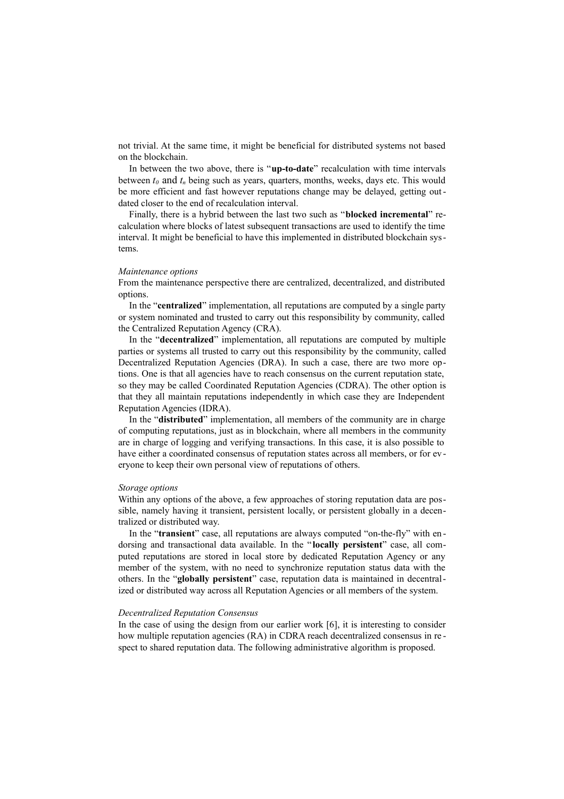not trivial. At the same time, it might be beneficial for distributed systems not based on the blockchain.

In between the two above, there is "**up-to-date**" recalculation with time intervals between  $t_0$  and  $t_n$  being such as years, quarters, months, weeks, days etc. This would be more efficient and fast however reputations change may be delayed, getting outdated closer to the end of recalculation interval.

Finally, there is a hybrid between the last two such as "**blocked incremental**" recalculation where blocks of latest subsequent transactions are used to identify the time interval. It might be beneficial to have this implemented in distributed blockchain systems.

#### *Maintenance options*

From the maintenance perspective there are centralized, decentralized, and distributed options.

In the "**centralized**" implementation, all reputations are computed by a single party or system nominated and trusted to carry out this responsibility by community, called the Centralized Reputation Agency (CRA).

In the "**decentralized**" implementation, all reputations are computed by multiple parties or systems all trusted to carry out this responsibility by the community, called Decentralized Reputation Agencies (DRA). In such a case, there are two more options. One is that all agencies have to reach consensus on the current reputation state, so they may be called Coordinated Reputation Agencies (CDRA). The other option is that they all maintain reputations independently in which case they are Independent Reputation Agencies (IDRA).

In the "**distributed**" implementation, all members of the community are in charge of computing reputations, just as in blockchain, where all members in the community are in charge of logging and verifying transactions. In this case, it is also possible to have either a coordinated consensus of reputation states across all members, or for ev eryone to keep their own personal view of reputations of others.

#### *Storage options*

Within any options of the above, a few approaches of storing reputation data are possible, namely having it transient, persistent locally, or persistent globally in a decentralized or distributed way.

In the "**transient**" case, all reputations are always computed "on-the-fly" with en dorsing and transactional data available. In the " **locally persistent**" case, all computed reputations are stored in local store by dedicated Reputation Agency or any member of the system, with no need to synchronize reputation status data with the others. In the "**globally persistent**" case, reputation data is maintained in decentralized or distributed way across all Reputation Agencies or all members of the system.

## *Decentralized Reputation Consensus*

In the case of using the design from our earlier work [6], it is interesting to consider how multiple reputation agencies (RA) in CDRA reach decentralized consensus in re spect to shared reputation data. The following administrative algorithm is proposed.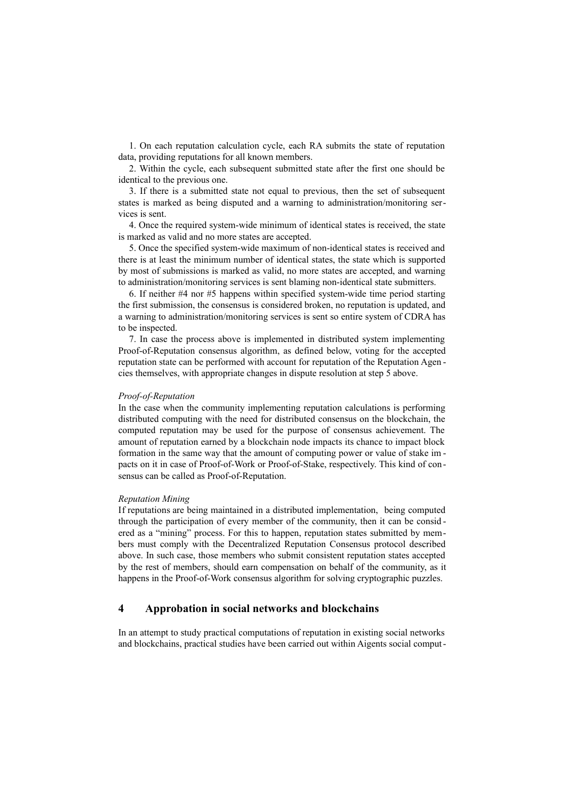1. On each reputation calculation cycle, each RA submits the state of reputation data, providing reputations for all known members.

2. Within the cycle, each subsequent submitted state after the first one should be identical to the previous one.

3. If there is a submitted state not equal to previous, then the set of subsequent states is marked as being disputed and a warning to administration/monitoring services is sent.

4. Once the required system-wide minimum of identical states is received, the state is marked as valid and no more states are accepted.

5. Once the specified system-wide maximum of non-identical states is received and there is at least the minimum number of identical states, the state which is supported by most of submissions is marked as valid, no more states are accepted, and warning to administration/monitoring services is sent blaming non-identical state submitters.

6. If neither #4 nor #5 happens within specified system-wide time period starting the first submission, the consensus is considered broken, no reputation is updated, and a warning to administration/monitoring services is sent so entire system of CDRA has to be inspected.

7. In case the process above is implemented in distributed system implementing Proof-of-Reputation consensus algorithm, as defined below, voting for the accepted reputation state can be performed with account for reputation of the Reputation Agen cies themselves, with appropriate changes in dispute resolution at step 5 above.

#### *Proof-of-Reputation*

In the case when the community implementing reputation calculations is performing distributed computing with the need for distributed consensus on the blockchain, the computed reputation may be used for the purpose of consensus achievement. The amount of reputation earned by a blockchain node impacts its chance to impact block formation in the same way that the amount of computing power or value of stake im pacts on it in case of Proof-of-Work or Proof-of-Stake, respectively. This kind of consensus can be called as Proof-of-Reputation.

#### *Reputation Mining*

If reputations are being maintained in a distributed implementation, being computed through the participation of every member of the community, then it can be consid ered as a "mining" process. For this to happen, reputation states submitted by members must comply with the Decentralized Reputation Consensus protocol described above. In such case, those members who submit consistent reputation states accepted by the rest of members, should earn compensation on behalf of the community, as it happens in the Proof-of-Work consensus algorithm for solving cryptographic puzzles.

# **4 Approbation in social networks and blockchains**

In an attempt to study practical computations of reputation in existing social networks and blockchains, practical studies have been carried out within Aigents social comput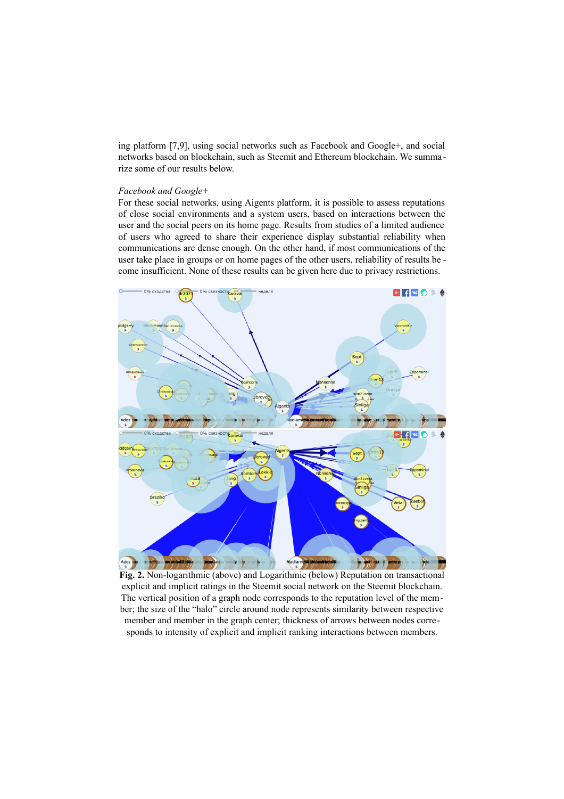ing platform [7,9], using social networks such as Facebook and Google+, and social networks based on blockchain, such as Steemit and Ethereum blockchain. We summa rize some of our results below.

## *Facebook and Google+*

For these social networks, using Aigents platform, it is possible to assess reputations of close social environments and a system users, based on interactions between the user and the social peers on its home page. Results from studies of a limited audience of users who agreed to share their experience display substantial reliability when communications are dense enough. On the other hand, if most communications of the user take place in groups or on home pages of the other users, reliability of results be come insufficient. None of these results can be given here due to privacy restrictions.



**Fig. 2.** Non-logarithmic (above) and Logarithmic (below) Reputation on transactional explicit and implicit ratings in the Steemit social network on the Steemit blockchain. The vertical position of a graph node corresponds to the reputation level of the member; the size of the "halo" circle around node represents similarity between respective member and member in the graph center; thickness of arrows between nodes corresponds to intensity of explicit and implicit ranking interactions between members.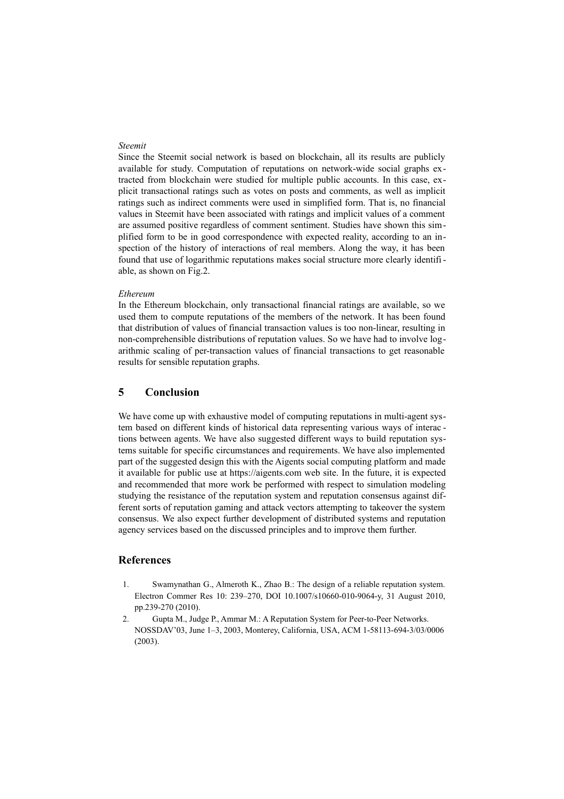### *Steemit*

Since the Steemit social network is based on blockchain, all its results are publicly available for study. Computation of reputations on network-wide social graphs extracted from blockchain were studied for multiple public accounts. In this case, explicit transactional ratings such as votes on posts and comments, as well as implicit ratings such as indirect comments were used in simplified form. That is, no financial values in Steemit have been associated with ratings and implicit values of a comment are assumed positive regardless of comment sentiment. Studies have shown this simplified form to be in good correspondence with expected reality, according to an inspection of the history of interactions of real members. Along the way, it has been found that use of logarithmic reputations makes social structure more clearly identifiable, as shown on Fig.2.

#### *Ethereum*

In the Ethereum blockchain, only transactional financial ratings are available, so we used them to compute reputations of the members of the network. It has been found that distribution of values of financial transaction values is too non-linear, resulting in non-comprehensible distributions of reputation values. So we have had to involve logarithmic scaling of per-transaction values of financial transactions to get reasonable results for sensible reputation graphs.

# **5 Conclusion**

We have come up with exhaustive model of computing reputations in multi-agent system based on different kinds of historical data representing various ways of interac tions between agents. We have also suggested different ways to build reputation systems suitable for specific circumstances and requirements. We have also implemented part of the suggested design this with the Aigents social computing platform and made it available for public use at [https://aigents.com](https://aigents.com/) web site. In the future, it is expected and recommended that more work be performed with respect to simulation modeling studying the resistance of the reputation system and reputation consensus against different sorts of reputation gaming and attack vectors attempting to takeover the system consensus. We also expect further development of distributed systems and reputation agency services based on the discussed principles and to improve them further.

# **References**

- 1. Swamynathan G., Almeroth K., Zhao B.: The design of a reliable reputation system. Electron Commer Res 10: 239–270, DOI 10.1007/s10660-010-9064-y, 31 August 2010, pp.239-270 (2010).
- 2. Gupta M., Judge P., Ammar M.: A Reputation System for Peer-to-Peer Networks. NOSSDAV'03, June 1–3, 2003, Monterey, California, USA, ACM 1-58113-694-3/03/0006 (2003).